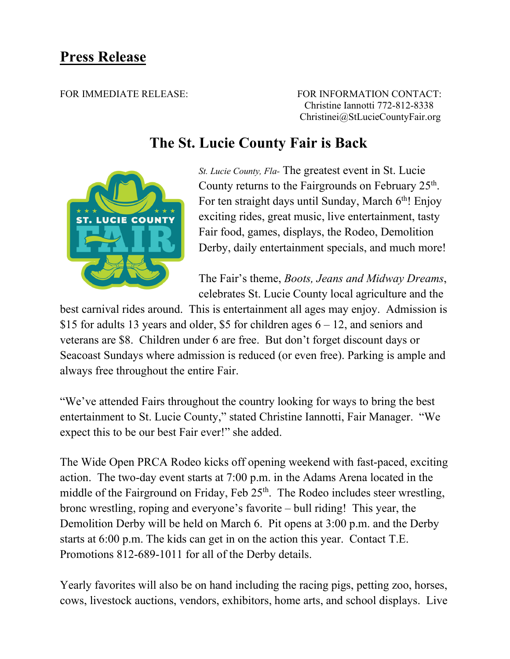## **Press Release**

FOR IMMEDIATE RELEASE: FOR INFORMATION CONTACT: Christine Iannotti 772-812-8338 Christinei@StLucieCountyFair.org

## **The St. Lucie County Fair is Back**



*St. Lucie County, Fla-* The greatest event in St. Lucie County returns to the Fairgrounds on February  $25<sup>th</sup>$ . For ten straight days until Sunday, March 6<sup>th</sup>! Enjoy exciting rides, great music, live entertainment, tasty Fair food, games, displays, the Rodeo, Demolition Derby, daily entertainment specials, and much more!

The Fair's theme, *Boots, Jeans and Midway Dreams*, celebrates St. Lucie County local agriculture and the

best carnival rides around. This is entertainment all ages may enjoy. Admission is \$15 for adults 13 years and older, \$5 for children ages 6 – 12, and seniors and veterans are \$8. Children under 6 are free. But don't forget discount days or Seacoast Sundays where admission is reduced (or even free). Parking is ample and always free throughout the entire Fair.

"We've attended Fairs throughout the country looking for ways to bring the best entertainment to St. Lucie County," stated Christine Iannotti, Fair Manager. "We expect this to be our best Fair ever!" she added.

The Wide Open PRCA Rodeo kicks off opening weekend with fast-paced, exciting action. The two-day event starts at 7:00 p.m. in the Adams Arena located in the middle of the Fairground on Friday, Feb  $25<sup>th</sup>$ . The Rodeo includes steer wrestling, bronc wrestling, roping and everyone's favorite – bull riding! This year, the Demolition Derby will be held on March 6. Pit opens at 3:00 p.m. and the Derby starts at 6:00 p.m. The kids can get in on the action this year. Contact T.E. Promotions 812-689-1011 for all of the Derby details.

Yearly favorites will also be on hand including the racing pigs, petting zoo, horses, cows, livestock auctions, vendors, exhibitors, home arts, and school displays. Live